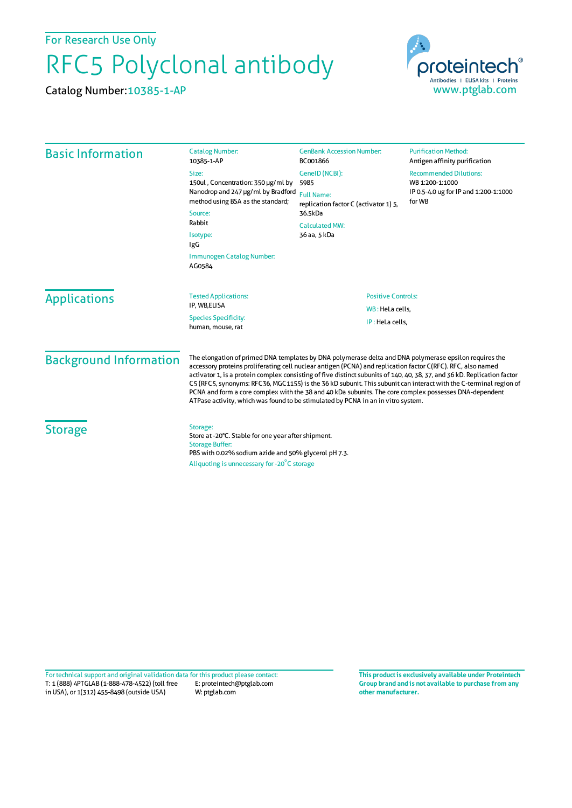For Research Use Only

## RFC5 Polyclonal antibody

Catalog Number:10385-1-AP



| <b>Basic Information</b> | <b>Catalog Number:</b><br>10385-1-AP                                                                                                                                                                  | <b>GenBank Accession Number:</b><br>BC001866                                                                   | <b>Purification Method:</b><br>Antigen affinity purification                                        |                     |                                                                                                                                                                                                  |                                    |  |
|--------------------------|-------------------------------------------------------------------------------------------------------------------------------------------------------------------------------------------------------|----------------------------------------------------------------------------------------------------------------|-----------------------------------------------------------------------------------------------------|---------------------|--------------------------------------------------------------------------------------------------------------------------------------------------------------------------------------------------|------------------------------------|--|
|                          | Size:<br>150ul, Concentration: 350 µg/ml by<br>Nanodrop and 247 µg/ml by Bradford<br>method using BSA as the standard;<br>Source:<br>Rabbit<br>Isotype:<br>IgG<br>Immunogen Catalog Number:<br>AG0584 | GeneID (NCBI):                                                                                                 | <b>Recommended Dilutions:</b><br>WB 1:200-1:1000<br>IP 0.5-4.0 ug for IP and 1:200-1:1000<br>for WB |                     |                                                                                                                                                                                                  |                                    |  |
|                          |                                                                                                                                                                                                       | 5985                                                                                                           |                                                                                                     |                     |                                                                                                                                                                                                  |                                    |  |
|                          |                                                                                                                                                                                                       | <b>Full Name:</b><br>replication factor C (activator 1) 5,<br>36.5kDa<br><b>Calculated MW:</b><br>36 aa, 5 kDa |                                                                                                     |                     |                                                                                                                                                                                                  |                                    |  |
|                          |                                                                                                                                                                                                       |                                                                                                                |                                                                                                     | <b>Applications</b> | <b>Tested Applications:</b><br>IP, WB,ELISA<br><b>Species Specificity:</b><br>human, mouse, rat                                                                                                  | <b>Positive Controls:</b>          |  |
|                          |                                                                                                                                                                                                       |                                                                                                                |                                                                                                     |                     |                                                                                                                                                                                                  | WB: HeLa cells.<br>IP: HeLa cells, |  |
|                          |                                                                                                                                                                                                       |                                                                                                                |                                                                                                     |                     |                                                                                                                                                                                                  |                                    |  |
|                          |                                                                                                                                                                                                       |                                                                                                                |                                                                                                     | <b>Storage</b>      | Storage:<br>Store at -20°C. Stable for one year after shipment.<br><b>Storage Buffer:</b><br>PBS with 0.02% sodium azide and 50% glycerol pH 7.3.<br>Aliquoting is unnecessary for -20°C storage |                                    |  |

T: 1 (888) 4PTGLAB (1-888-478-4522) (toll free in USA), or 1(312) 455-8498 (outside USA) E: proteintech@ptglab.com W: ptglab.com Fortechnical support and original validation data forthis product please contact: **This productis exclusively available under Proteintech**

**Group brand and is not available to purchase from any other manufacturer.**